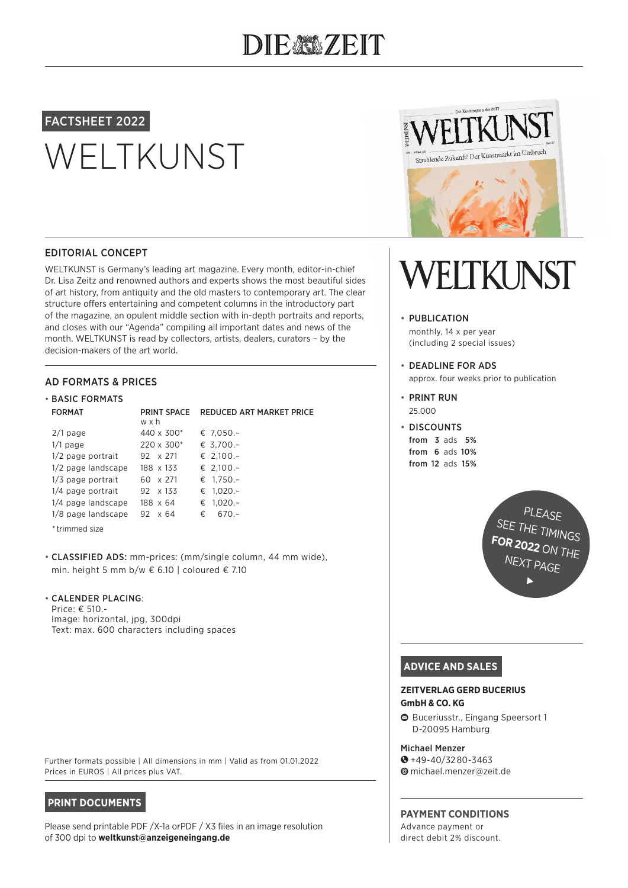# DIEAMZEIT

# FACTSHEET 2022

# WELTKUNST



## EDITORIAL CONCEPT

WELTKUNST is Germany's leading art magazine. Every month, editor-in-chief Dr. Lisa Zeitz and renowned authors and experts shows the most beautiful sides of art history, from antiquity and the old masters to contemporary art. The clear structure offers entertaining and competent columns in the introductory part of the magazine, an opulent middle section with in-depth portraits and reports, and closes with our "Agenda" compiling all important dates and news of the month. WELTKUNST is read by collectors, artists, dealers, curators – by the decision-makers of the art world.

## AD FORMATS & PRICES

| <b>• BASIC FORMATS</b> |                           |                                 |
|------------------------|---------------------------|---------------------------------|
| <b>FORMAT</b>          | <b>PRINT SPACE</b><br>wxh | <b>REDUCED ART MARKET PRICE</b> |
| $2/1$ page             | 440 x $300*$              | € 7,050.-                       |
| $1/1$ page             | $220 \times 300*$         | € 3.700.-                       |
| 1/2 page portrait      | $92 \times 271$           | € 2,100.-                       |
| 1/2 page landscape     | 188 x 133                 | € 2,100.-                       |
| 1/3 page portrait      | 60 x 271                  | € $1.750 -$                     |
| 1/4 page portrait      | 92 x 133                  | € $1,020.-$                     |
| 1/4 page landscape     | 188 x 64                  | $1,020.-$<br>€                  |
| 1/8 page landscape     | $92 \times 64$            | €.<br>$670 -$                   |
|                        |                           |                                 |

\*trimmed size

• CLASSIFIED ADS: mm-prices: (mm/single column, 44 mm wide), min. height 5 mm b/w € 6.10 | coloured € 7.10

### • CALENDER PLACING:

Price: € 510.- Image: horizontal, jpg, 300dpi Text: max. 600 characters including spaces WELTKUNST

### • PUBLICATION

monthly, 14 x per year (including 2 special issues)

• DEADLINE FOR ADS approx. four weeks prior to publication

• PRINT RUN 25.000

• DISCOUNTS from 3 ads 5% from 6 ads 10% from 12 ads 15%

> **PLEASE** SEE THE TIMINGS **FOR 2022** ON THE NEXT PAGE

> > $\blacktriangleright$

# **ADVICE AND SALES**

#### **ZEITVERLAG GERD BUCERIUS GmbH & CO. KG**

1 Buceriusstr., Eingang Speersort 1 D-20095 Hamburg

#### Michael Menzer

- $\bullet$  +49-40/3280-3463
- 4 michael.menzer@zeit.de

# **PAYMENT CONDITIONS**

Advance payment or direct debit 2% discount.

#### Further formats possible | All dimensions in mm | Valid as from 01.01.2022 Prices in EUROS | All prices plus VAT.

# **PRINT DOCUMENTS**

Please send printable PDF /X-1a orPDF / X3 files in an image resolution of 300 dpi to **weltkunst@anzeigeneingang.de**